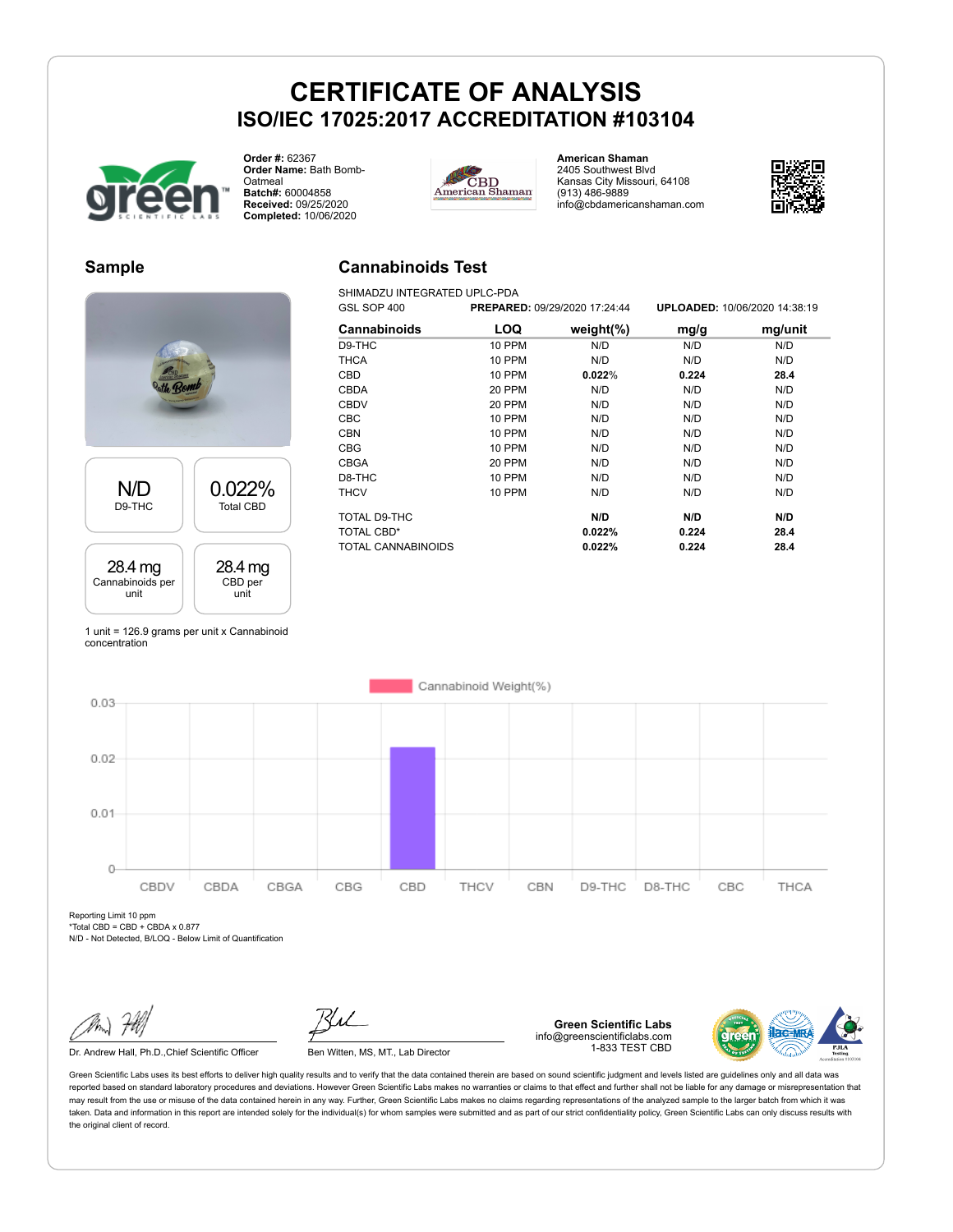

**Order #:** 62367 **Order Name:** Bath Bomb-**Oatmeal Batch#:** 60004858 **Received:** 09/25/2020 **Completed:** 10/06/2020



**American Shaman** 2405 Southwest Blvd Kansas City Missouri, 64108 (913) 486-9889 info@cbdamericanshaman.com



#### **Sample**



1 unit = 126.9 grams per unit x Cannabinoid concentration

### **Cannabinoids Test**

SHIMADZU INTEGRATED UPLC-PDA

| GSL SOP 400        |               | PREPARED: 09/29/2020 17:24:44 |       | UPLOADED: 10/06/2020 14:38:19 |
|--------------------|---------------|-------------------------------|-------|-------------------------------|
| Cannabinoids       | LOQ           | weight $(\%)$                 | mg/g  | mg/unit                       |
| D9-THC             | <b>10 PPM</b> | N/D                           | N/D   | N/D                           |
| <b>THCA</b>        | 10 PPM        | N/D                           | N/D   | N/D                           |
| CBD                | <b>10 PPM</b> | 0.022%                        | 0.224 | 28.4                          |
| <b>CBDA</b>        | <b>20 PPM</b> | N/D                           | N/D   | N/D                           |
| <b>CBDV</b>        | 20 PPM        | N/D                           | N/D   | N/D                           |
| <b>CBC</b>         | 10 PPM        | N/D                           | N/D   | N/D                           |
| <b>CBN</b>         | <b>10 PPM</b> | N/D                           | N/D   | N/D                           |
| <b>CBG</b>         | <b>10 PPM</b> | N/D                           | N/D   | N/D                           |
| <b>CBGA</b>        | 20 PPM        | N/D                           | N/D   | N/D                           |
| D8-THC             | 10 PPM        | N/D                           | N/D   | N/D                           |
| <b>THCV</b>        | 10 PPM        | N/D                           | N/D   | N/D                           |
| TOTAL D9-THC       |               | N/D                           | N/D   | N/D                           |
| TOTAL CBD*         |               | 0.022%                        | 0.224 | 28.4                          |
| TOTAL CANNABINOIDS |               | 0.022%                        | 0.224 | 28.4                          |



Reporting Limit 10 ppm  $*Total CBD = CBD + CBDA \times 0.877$ 

N/D - Not Detected, B/LOQ - Below Limit of Quantification

Dr. Andrew Hall, Ph.D., Chief Scientific Officer Ben Witten, MS, MT., Lab Director

**Green Scientific Labs** info@greenscientificlabs.com 1-833 TEST CBD

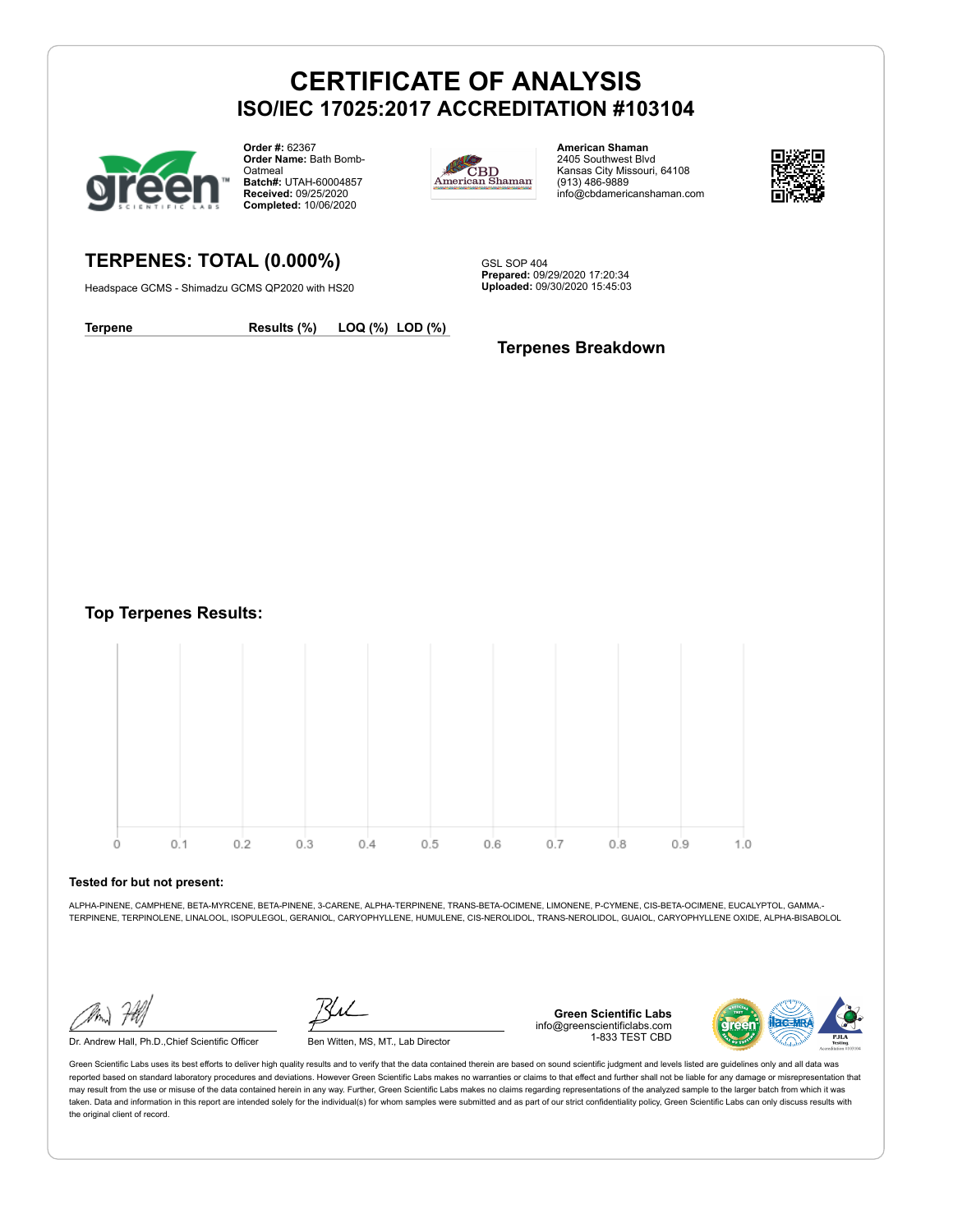

**TERPENES: TOTAL (0.000%)** Headspace GCMS - Shimadzu GCMS QP2020 with HS20

**Order #:** 62367 **Order Name:** Bath Bomb-**Oatmeal Batch#:** UTAH-60004857 **Received:** 09/25/2020 **Completed:** 10/06/2020



**American Shaman** 2405 Southwest Blvd Kansas City Missouri, 64108 (913) 486-9889 info@cbdamericanshaman.com



GSL SOP 404 **Prepared:** 09/29/2020 17:20:34 **Uploaded:** 09/30/2020 15:45:03

**Terpene Results (%) LOQ (%) LOD (%)**

#### **Terpenes Breakdown**

**Top Terpenes Results:**



#### **Tested for but not present:**

ALPHA-PINENE, CAMPHENE, BETA-MYRCENE, BETA-PINENE, 3-CARENE, ALPHA-TERPINENE, TRANS-BETA-OCIMENE, LIMONENE, P-CYMENE, CIS-BETA-OCIMENE, EUCALYPTOL, GAMMA.- TERPINENE, TERPINOLENE, LINALOOL, ISOPULEGOL, GERANIOL, CARYOPHYLLENE, HUMULENE, CIS-NEROLIDOL, TRANS-NEROLIDOL, GUAIOL, CARYOPHYLLENE OXIDE, ALPHA-BISABOLOL

Dr. Andrew Hall, Ph.D.,Chief Scientific Officer Ben Witten, MS, MT., Lab Director

**Green Scientific Labs** info@greenscientificlabs.com 1-833 TEST CBD

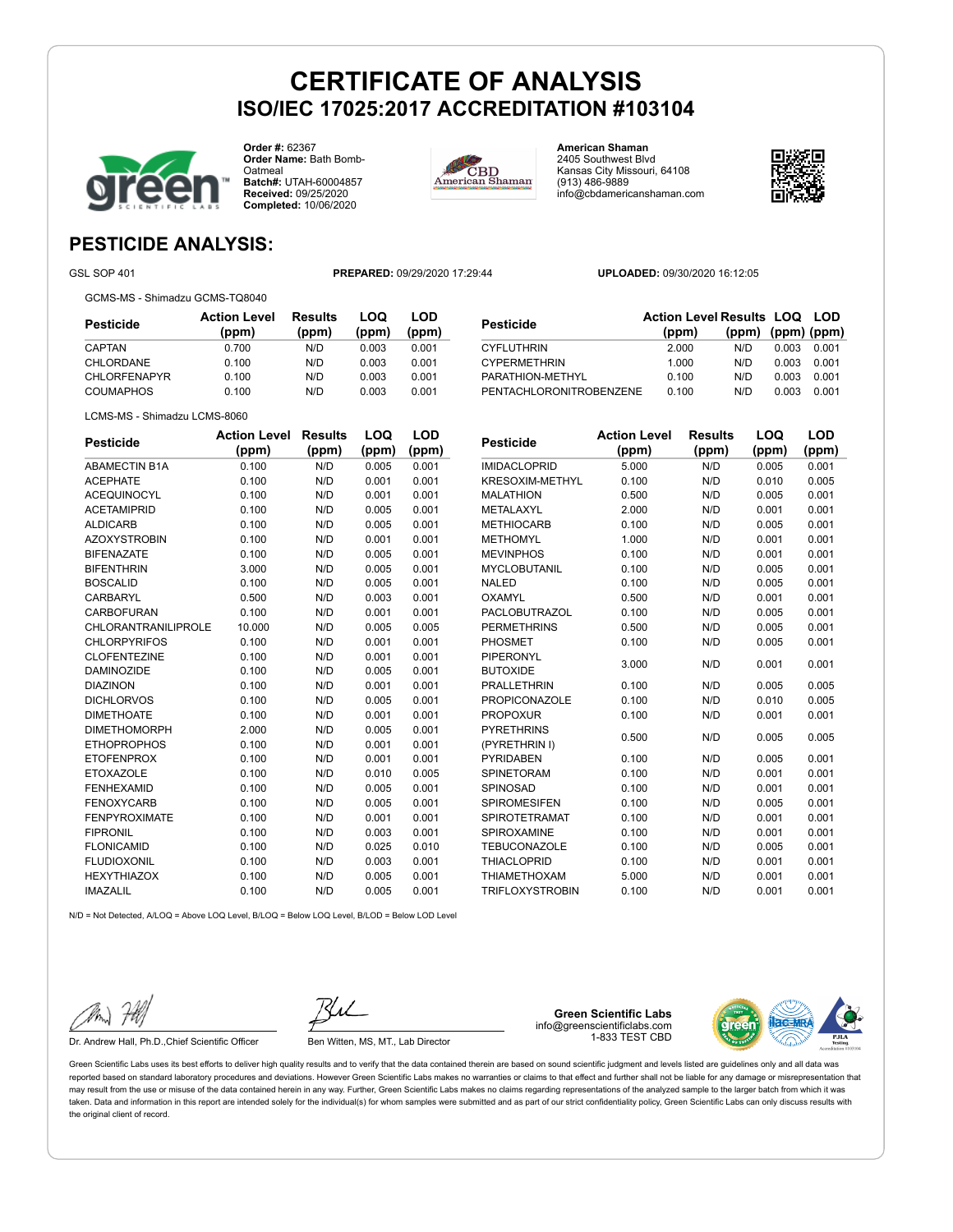

**Order #:** 62367 **Order Name:** Bath Bomb-**Oatmeal Batch#:** UTAH-60004857 **Received:** 09/25/2020 **Completed:** 10/06/2020



**American Shaman** 2405 Southwest Blvd Kansas City Missouri, 64108 (913) 486-9889 info@cbdamericanshaman.com



### **PESTICIDE ANALYSIS:**

GSL SOP 401 **PREPARED:** 09/29/2020 17:29:44 **UPLOADED:** 09/30/2020 16:12:05

GCMS-MS - Shimadzu GCMS-TQ8040

LCMS-MS - Shimadzu LCMS-8060

**Pesticide Action Level (ppm) Results (ppm) LOQ (ppm) LOD (ppm)** CAPTAN 0.700 N/D 0.003 0.001 CHLORDANE 0.100 N/D 0.003 0.001 CHLORFENAPYR 0.100 N/D 0.003 0.001 COUMAPHOS 0.100 N/D 0.003 0.001

| <b>Pesticide</b>     | <b>Action Level</b> | <b>Results</b> | LOQ   | LOD   |
|----------------------|---------------------|----------------|-------|-------|
|                      | (ppm)               | (ppm)          | (ppm) | (ppm) |
| <b>ABAMECTIN B1A</b> | 0.100               | N/D            | 0.005 | 0.001 |
| <b>ACEPHATE</b>      | 0.100               | N/D            | 0.001 | 0.001 |
| <b>ACEQUINOCYL</b>   | 0.100               | N/D            | 0.001 | 0.001 |
| <b>ACETAMIPRID</b>   | 0.100               | N/D            | 0.005 | 0.001 |
| <b>ALDICARB</b>      | 0.100               | N/D            | 0.005 | 0.001 |
| <b>AZOXYSTROBIN</b>  | 0.100               | N/D            | 0.001 | 0.001 |
| <b>BIFENAZATE</b>    | 0.100               | N/D            | 0.005 | 0.001 |
| <b>BIFENTHRIN</b>    | 3.000               | N/D            | 0.005 | 0.001 |
| <b>BOSCALID</b>      | 0.100               | N/D            | 0.005 | 0.001 |
| CARBARYL             | 0.500               | N/D            | 0.003 | 0.001 |
| CARBOFURAN           | 0.100               | N/D            | 0.001 | 0.001 |
| CHLORANTRANILIPROLE  | 10.000              | N/D            | 0.005 | 0.005 |
| <b>CHLORPYRIFOS</b>  | 0.100               | N/D            | 0.001 | 0.001 |
| <b>CLOFENTEZINE</b>  | 0.100               | N/D            | 0.001 | 0.001 |
| <b>DAMINOZIDE</b>    | 0.100               | N/D            | 0.005 | 0.001 |
| <b>DIAZINON</b>      | 0.100               | N/D            | 0.001 | 0.001 |
| <b>DICHLORVOS</b>    | 0.100               | N/D            | 0.005 | 0.001 |
| <b>DIMETHOATE</b>    | 0.100               | N/D            | 0.001 | 0.001 |
| <b>DIMETHOMORPH</b>  | 2.000               | N/D            | 0.005 | 0.001 |
| <b>ETHOPROPHOS</b>   | 0.100               | N/D            | 0.001 | 0.001 |
| <b>ETOFENPROX</b>    | 0.100               | N/D            | 0.001 | 0.001 |
| <b>ETOXAZOLE</b>     | 0.100               | N/D            | 0.010 | 0.005 |
| <b>FENHEXAMID</b>    | 0.100               | N/D            | 0.005 | 0.001 |
| <b>FENOXYCARB</b>    | 0.100               | N/D            | 0.005 | 0.001 |
| <b>FENPYROXIMATE</b> | 0.100               | N/D            | 0.001 | 0.001 |
| <b>FIPRONIL</b>      | 0.100               | N/D            | 0.003 | 0.001 |
| <b>FLONICAMID</b>    | 0.100               | N/D            | 0.025 | 0.010 |
| <b>FLUDIOXONIL</b>   | 0.100               | N/D            | 0.003 | 0.001 |
| <b>HEXYTHIAZOX</b>   | 0.100               | N/D            | 0.005 | 0.001 |
| <b>IMAZALIL</b>      | 0.100               | N/D            | 0.005 | 0.001 |

| Pesticide              | <b>Action Level</b><br>(ppm) | <b>Results</b><br>(ppm) | LOQ<br>(ppm) | <b>LOD</b><br>(ppm) |
|------------------------|------------------------------|-------------------------|--------------|---------------------|
| <b>IMIDACLOPRID</b>    | 5.000                        | N/D                     | 0.005        | 0.001               |
| <b>KRESOXIM-METHYL</b> | 0.100                        | N/D                     | 0.010        | 0.005               |
| <b>MALATHION</b>       | 0.500                        | N/D                     | 0.005        | 0.001               |
| METALAXYL              | 2.000                        | N/D                     | 0.001        | 0.001               |
| <b>METHIOCARB</b>      | 0.100                        | N/D                     | 0.005        | 0.001               |
| <b>METHOMYL</b>        | 1.000                        | N/D                     | 0.001        | 0.001               |
| <b>MEVINPHOS</b>       | 0.100                        | N/D                     | 0.001        | 0.001               |
| <b>MYCLOBUTANIL</b>    | 0.100                        | N/D                     | 0.005        | 0.001               |
| <b>NALED</b>           | 0.100                        | N/D                     | 0.005        | 0.001               |
| OXAMYL                 | 0.500                        | N/D                     | 0.001        | 0.001               |
| <b>PACLOBUTRAZOL</b>   | 0.100                        | N/D                     | 0.005        | 0.001               |
| <b>PERMETHRINS</b>     | 0.500                        | N/D                     | 0.005        | 0.001               |
| <b>PHOSMET</b>         | 0.100                        | N/D                     | 0.005        | 0.001               |
| <b>PIPERONYL</b>       | 3.000                        | N/D                     | 0.001        | 0.001               |
| <b>BUTOXIDE</b>        |                              |                         |              |                     |
| <b>PRALLETHRIN</b>     | 0.100                        | N/D                     | 0.005        | 0.005               |
| <b>PROPICONAZOLE</b>   | 0.100                        | N/D                     | 0.010        | 0.005               |
| <b>PROPOXUR</b>        | 0.100                        | N/D                     | 0.001        | 0.001               |
| <b>PYRETHRINS</b>      | 0.500                        | N/D                     | 0.005        | 0.005               |
| (PYRETHRIN I)          |                              |                         |              |                     |
| <b>PYRIDABEN</b>       | 0.100                        | N/D                     | 0.005        | 0.001               |
| <b>SPINETORAM</b>      | 0.100                        | N/D                     | 0.001        | 0.001               |
| SPINOSAD               | 0.100                        | N/D                     | 0.001        | 0.001               |
| <b>SPIROMESIFEN</b>    | 0.100                        | N/D                     | 0.005        | 0.001               |
| SPIROTETRAMAT          | 0.100                        | N/D                     | 0.001        | 0.001               |
| SPIROXAMINE            | 0.100                        | N/D                     | 0.001        | 0.001               |
| <b>TEBUCONAZOLE</b>    | 0.100                        | N/D                     | 0.005        | 0.001               |
| <b>THIACLOPRID</b>     | 0.100                        | N/D                     | 0.001        | 0.001               |
| <b>THIAMETHOXAM</b>    | 5.000                        | N/D                     | 0.001        | 0.001               |
| <b>TRIFLOXYSTROBIN</b> | 0.100                        | N/D                     | 0.001        | 0.001               |

N/D = Not Detected, A/LOQ = Above LOQ Level, B/LOQ = Below LOQ Level, B/LOD = Below LOD Level

| $\mathscr{W}_{m}$ | Fbb/ |
|-------------------|------|
|                   |      |

Dr. Andrew Hall, Ph.D.,Chief Scientific Officer Ben Witten, MS, MT., Lab Director

**Green Scientific Labs** info@greenscientificlabs.com 1-833 TEST CBD



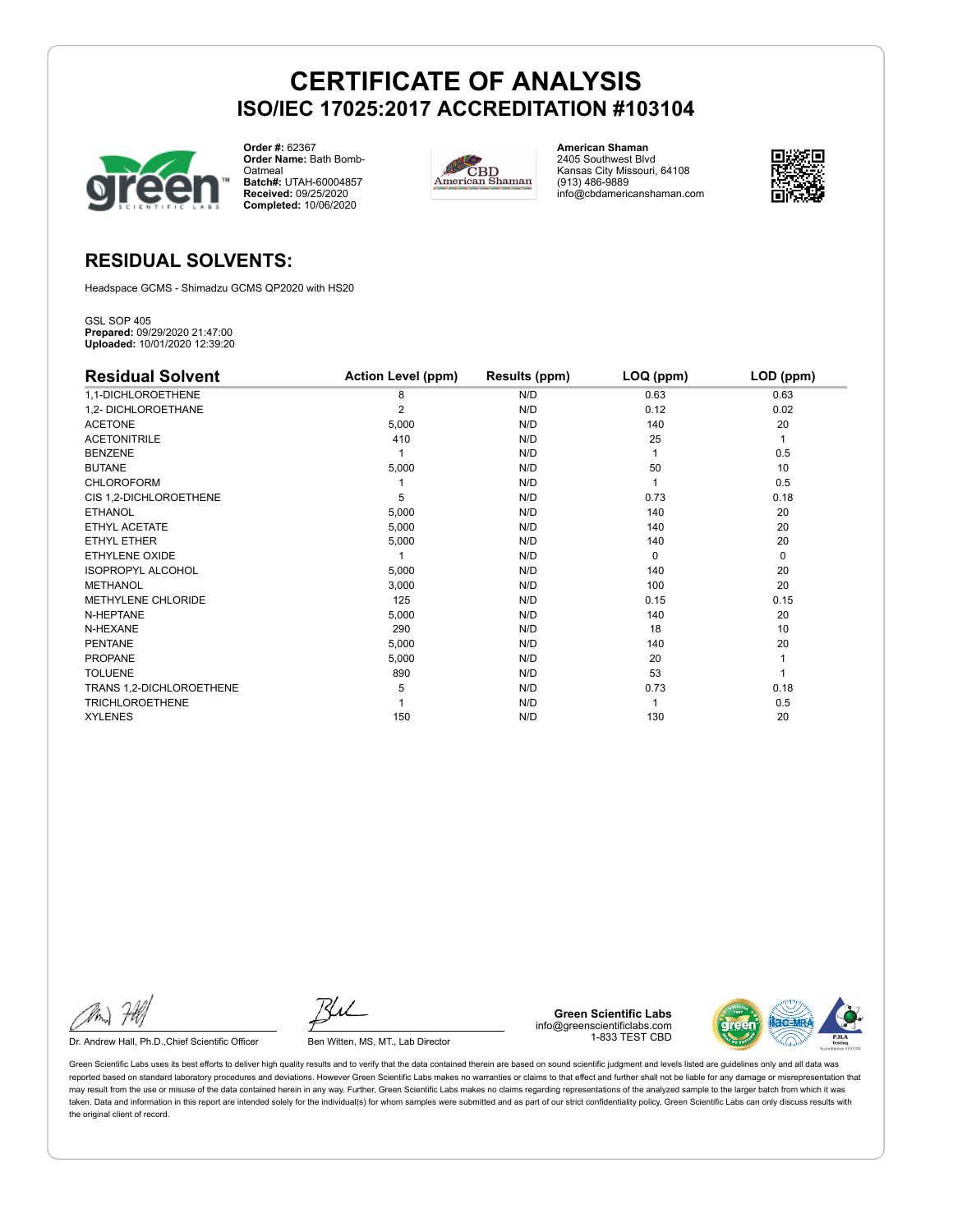

**Order #:** 62367 **Order Name:** Bath Bomb-**Oatmeal Batch#:** UTAH-60004857 **Received:** 09/25/2020 **Completed:** 10/06/2020



**American Shaman** 2405 Southwest Blvd Kansas City Missouri, 64108 (913) 486-9889 info@cbdamericanshaman.com



#### **RESIDUAL SOLVENTS:**

Headspace GCMS - Shimadzu GCMS QP2020 with HS20

GSL SOP 405 **Prepared:** 09/29/2020 21:47:00 **Uploaded:** 10/01/2020 12:39:20

| <b>Residual Solvent</b>   | <b>Action Level (ppm)</b> | Results (ppm) | LOQ (ppm) | LOD (ppm)   |
|---------------------------|---------------------------|---------------|-----------|-------------|
| 1,1-DICHLOROETHENE        | 8                         | N/D           | 0.63      | 0.63        |
| 1,2- DICHLOROETHANE       | $\overline{2}$            | N/D           | 0.12      | 0.02        |
| <b>ACETONE</b>            | 5,000                     | N/D           | 140       | 20          |
| <b>ACETONITRILE</b>       | 410                       | N/D           | 25        | 1           |
| <b>BENZENE</b>            |                           | N/D           |           | 0.5         |
| <b>BUTANE</b>             | 5,000                     | N/D           | 50        | 10          |
| CHLOROFORM                |                           | N/D           |           | 0.5         |
| CIS 1,2-DICHLOROETHENE    | 5                         | N/D           | 0.73      | 0.18        |
| <b>ETHANOL</b>            | 5,000                     | N/D           | 140       | 20          |
| ETHYL ACETATE             | 5,000                     | N/D           | 140       | 20          |
| ETHYL ETHER               | 5,000                     | N/D           | 140       | 20          |
| ETHYLENE OXIDE            |                           | N/D           | $\Omega$  | $\mathbf 0$ |
| <b>ISOPROPYL ALCOHOL</b>  | 5,000                     | N/D           | 140       | 20          |
| <b>METHANOL</b>           | 3,000                     | N/D           | 100       | 20          |
| <b>METHYLENE CHLORIDE</b> | 125                       | N/D           | 0.15      | 0.15        |
| N-HEPTANE                 | 5,000                     | N/D           | 140       | 20          |
| N-HEXANE                  | 290                       | N/D           | 18        | 10          |
| <b>PENTANE</b>            | 5,000                     | N/D           | 140       | 20          |
| <b>PROPANE</b>            | 5,000                     | N/D           | 20        |             |
| <b>TOLUENE</b>            | 890                       | N/D           | 53        |             |
| TRANS 1,2-DICHLOROETHENE  | 5                         | N/D           | 0.73      | 0.18        |
| <b>TRICHLOROETHENE</b>    |                           | N/D           |           | 0.5         |
| <b>XYLENES</b>            | 150                       | N/D           | 130       | 20          |

Dr. Andrew Hall, Ph.D., Chief Scientific Officer Ben Witten, MS, MT., Lab Director

**Green Scientific Labs** info@greenscientificlabs.com 1-833 TEST CBD

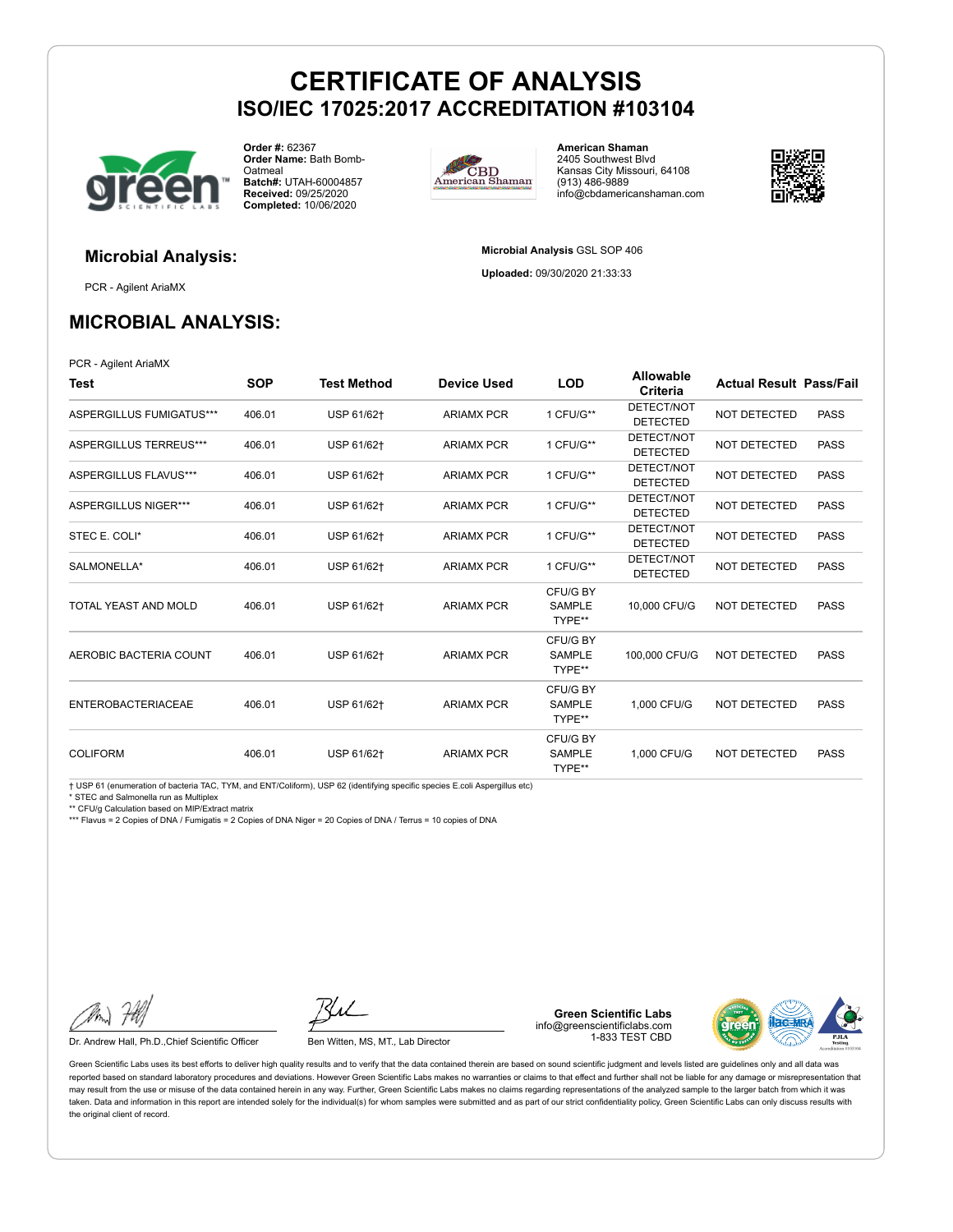

**Order #:** 62367 **Order Name:** Bath Bomb-**Oatmeal Batch#:** UTAH-60004857 **Received:** 09/25/2020 **Completed:** 10/06/2020



**American Shaman** 2405 Southwest Blvd Kansas City Missouri, 64108 (913) 486-9889 info@cbdamericanshaman.com



**Microbial Analysis** GSL SOP 406 **Uploaded:** 09/30/2020 21:33:33

### **Microbial Analysis:**

PCR - Agilent AriaMX

#### **MICROBIAL ANALYSIS:**

PCR - Agilent AriaMX

| Test                      | <b>SOP</b> | <b>Test Method</b> | <b>Device Used</b> | <b>LOD</b>                          | Allowable<br>Criteria         | <b>Actual Result Pass/Fail</b> |             |
|---------------------------|------------|--------------------|--------------------|-------------------------------------|-------------------------------|--------------------------------|-------------|
| ASPERGILLUS FUMIGATUS***  | 406.01     | USP 61/62+         | <b>ARIAMX PCR</b>  | 1 CFU/G**                           | DETECT/NOT<br><b>DETECTED</b> | <b>NOT DETECTED</b>            | <b>PASS</b> |
| ASPERGILLUS TERREUS***    | 406.01     | USP 61/62+         | <b>ARIAMX PCR</b>  | 1 CFU/G**                           | DETECT/NOT<br><b>DETECTED</b> | <b>NOT DETECTED</b>            | <b>PASS</b> |
| ASPERGILLUS FLAVUS***     | 406.01     | USP 61/62+         | <b>ARIAMX PCR</b>  | 1 CFU/G**                           | DETECT/NOT<br><b>DETECTED</b> | <b>NOT DETECTED</b>            | <b>PASS</b> |
| ASPERGILLUS NIGER***      | 406.01     | USP 61/62+         | <b>ARIAMX PCR</b>  | 1 CFU/G**                           | DETECT/NOT<br><b>DETECTED</b> | <b>NOT DETECTED</b>            | <b>PASS</b> |
| STEC E. COLI*             | 406.01     | USP 61/62+         | <b>ARIAMX PCR</b>  | 1 CFU/G**                           | DETECT/NOT<br><b>DETECTED</b> | <b>NOT DETECTED</b>            | <b>PASS</b> |
| SALMONELLA*               | 406.01     | USP 61/62+         | <b>ARIAMX PCR</b>  | 1 CFU/G**                           | DETECT/NOT<br><b>DETECTED</b> | <b>NOT DETECTED</b>            | <b>PASS</b> |
| TOTAL YEAST AND MOLD      | 406.01     | USP 61/62+         | <b>ARIAMX PCR</b>  | CFU/G BY<br><b>SAMPLE</b><br>TYPE** | 10,000 CFU/G                  | <b>NOT DETECTED</b>            | <b>PASS</b> |
| AEROBIC BACTERIA COUNT    | 406.01     | USP 61/62+         | <b>ARIAMX PCR</b>  | CFU/G BY<br><b>SAMPLE</b><br>TYPE** | 100,000 CFU/G                 | <b>NOT DETECTED</b>            | <b>PASS</b> |
| <b>ENTEROBACTERIACEAE</b> | 406.01     | USP 61/62+         | <b>ARIAMX PCR</b>  | CFU/G BY<br><b>SAMPLE</b><br>TYPE** | 1.000 CFU/G                   | <b>NOT DETECTED</b>            | <b>PASS</b> |
| <b>COLIFORM</b>           | 406.01     | USP 61/62+         | <b>ARIAMX PCR</b>  | CFU/G BY<br><b>SAMPLE</b><br>TYPE** | 1,000 CFU/G                   | <b>NOT DETECTED</b>            | <b>PASS</b> |

† USP 61 (enumeration of bacteria TAC, TYM, and ENT/Coliform), USP 62 (identifying specific species E.coli Aspergillus etc)

STEC and Salmonella run as Multiplex

\*\* CFU/g Calculation based on MIP/Extract matrix

\*\*\* Flavus = 2 Copies of DNA / Fumigatis = 2 Copies of DNA Niger = 20 Copies of DNA / Terrus = 10 copies of DNA

Dr. Andrew Hall, Ph.D., Chief Scientific Officer Ben Witten, MS, MT., Lab Director

**Green Scientific Labs** info@greenscientificlabs.com 1-833 TEST CBD